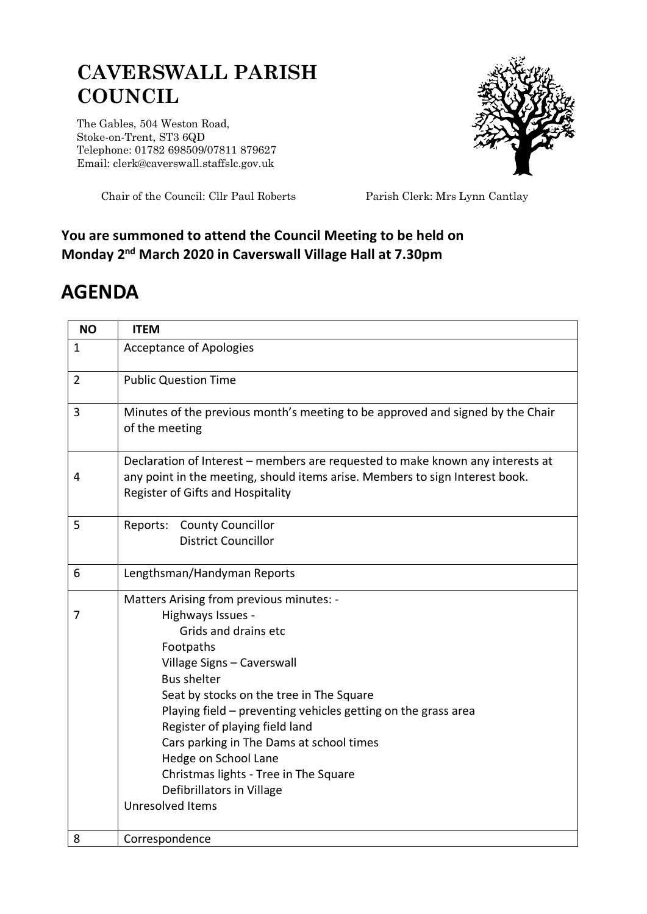## **CAVERSWALL PARISH COUNCIL**

The Gables, 504 Weston Road, Stoke-on-Trent, ST3 6QD Telephone: 01782 698509/07811 879627 Email: clerk@caverswall.staffslc.gov.uk



Chair of the Council: Cllr Paul Roberts Parish Clerk: Mrs Lynn Cantlay

## **You are summoned to attend the Council Meeting to be held on Monday 2 nd March 2020 in Caverswall Village Hall at 7.30pm**

## **AGENDA**

| <b>NO</b>      | <b>ITEM</b>                                                                                                                                                                                                                                                                                                                                                                                                                                                         |
|----------------|---------------------------------------------------------------------------------------------------------------------------------------------------------------------------------------------------------------------------------------------------------------------------------------------------------------------------------------------------------------------------------------------------------------------------------------------------------------------|
| $\mathbf{1}$   | <b>Acceptance of Apologies</b>                                                                                                                                                                                                                                                                                                                                                                                                                                      |
| $\overline{2}$ | <b>Public Question Time</b>                                                                                                                                                                                                                                                                                                                                                                                                                                         |
| 3              | Minutes of the previous month's meeting to be approved and signed by the Chair<br>of the meeting                                                                                                                                                                                                                                                                                                                                                                    |
| 4              | Declaration of Interest – members are requested to make known any interests at<br>any point in the meeting, should items arise. Members to sign Interest book.<br>Register of Gifts and Hospitality                                                                                                                                                                                                                                                                 |
| 5              | Reports: County Councillor<br><b>District Councillor</b>                                                                                                                                                                                                                                                                                                                                                                                                            |
| 6              | Lengthsman/Handyman Reports                                                                                                                                                                                                                                                                                                                                                                                                                                         |
| 7              | Matters Arising from previous minutes: -<br>Highways Issues -<br>Grids and drains etc<br>Footpaths<br>Village Signs - Caverswall<br><b>Bus shelter</b><br>Seat by stocks on the tree in The Square<br>Playing field - preventing vehicles getting on the grass area<br>Register of playing field land<br>Cars parking in The Dams at school times<br>Hedge on School Lane<br>Christmas lights - Tree in The Square<br>Defibrillators in Village<br>Unresolved Items |
| 8              | Correspondence                                                                                                                                                                                                                                                                                                                                                                                                                                                      |